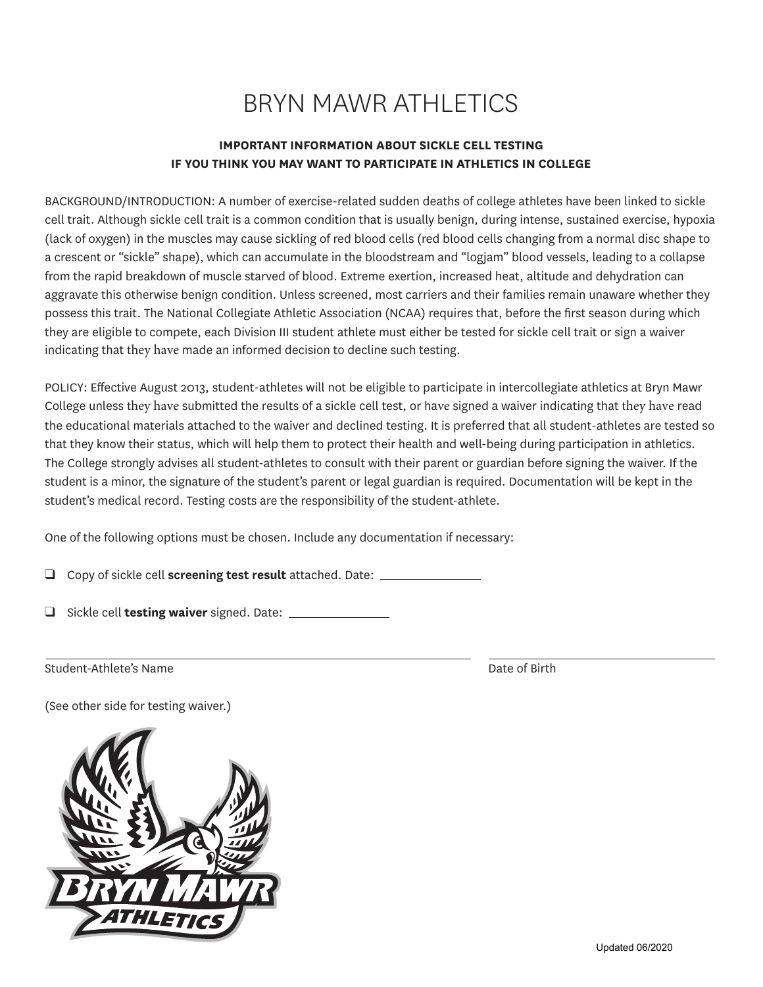## BRYN MAWR ATHLETICS

## **IMPORTANT INFORMATION ABOUT SICKLE CELL TESTING IF YOU THINK YOU MAY WANT TO PARTICIPATE IN ATHLETICS IN COLLEGE**

BACKGROUND/INTRODUCTION: A number of exercise-related sudden deaths of college athletes have been linked to sickle cell trait. Although sickle cell trait is a common condition that is usually benign, during intense, sustained exercise, hypoxia (lack of oxygen) in the muscles may cause sickling of red blood cells (red blood cells changing from a normal disc shape to a crescent or "sickle" shape), which can accumulate in the bloodstream and "logjam" blood vessels, leading to a collapse from the rapid breakdown of muscle starved of blood. Extreme exertion, increased heat, altitude and dehydration can aggravate this otherwise benign condition. Unless screened, most carriers and their families remain unaware whether they possess this trait. The National Collegiate Athletic Association (NCAA) requires that, before the frst season during which they are eligible to compete, each Division III student athlete must either be tested for sickle cell trait or sign a waiver indicating that they have made an informed decision to decline such testing.

POLICY: Efective August 2013, student-athletes will not be eligible to participate in intercollegiate athletics at Bryn Mawr College unless they have submitted the results of a sickle cell test, or have signed a waiver indicating that they have read the educational materials attached to the waiver and declined testing. It is preferred that all student-athletes are tested so that they know their status, which will help them to protect their health and well-being during participation in athletics. The College strongly advises all student-athletes to consult with their parent or guardian before signing the waiver. If the student is a minor, the signature of the student's parent or legal guardian is required. Documentation will be kept in the student's medical record. Testing costs are the responsibility of the student-athlete.

One of the following options must be chosen. Include any documentation if necessary:

q Copy of sickle cell **screening test result** attached. Date:

q Sickle cell **testing waiver** signed. Date:

Student-Athlete's Name **Date of Birth** 

(See other side for testing waiver.)